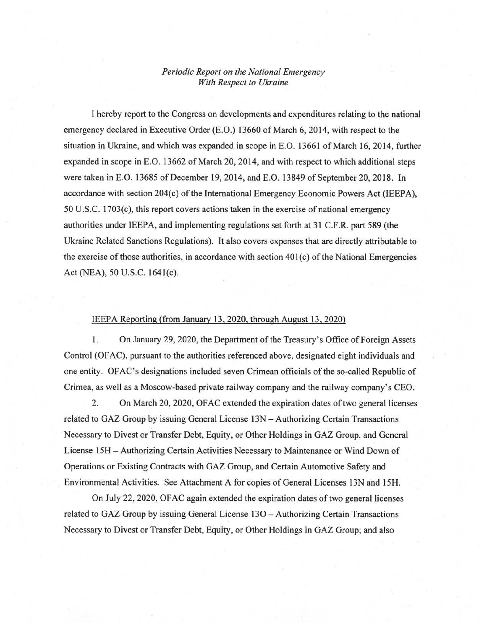## *Periodic Report on the Nationai Emergency With Respect to Ukraine*

1 hereby report to the Congress on developments and expenditures relating to the national emergency declared in Executive Order (E.O.) 13660 of March 6, 2014, with respect to the situation in Ukraine, and which was expanded in scope in E.O. 13661 of March 16, 2014, further expanded in scope in E.O. 13662 of March 20, 2014, and with respect to which additional steps were taken in E.O. 13685 of December 19, 2014, and E.O. 13849 of September 20, 2018. In accordance with section 204(c) of the International Emergency Economic Powers Act (IEEPA),  $50 \text{ U.S.C. } 1703(c)$ , this report covers actions taken in the exercise of national emergency authorities under IEEPA, and implementing regulations set forth at 31 C.F.R. part 589 (the Ukraine Related Sanctions Regulations). It also covers expenses that are directly attributable to the exercise of those authorities, in accordance with section  $401(c)$  of the National Emergencies Act (NEA), 50 U.S.C. 1641(c).

## IEEPA Reporting (from January 13,2020, through August 13,2020)

1. On January 29, 2020, the Department of the Treasury's Office of Foreign Assets Control (OF AC), pursuant to the authorities referenced above, designated eight individuals and one entity. OFAC's designations included seven Crimean officials ofthe so-called Republic of Crimea, as well as a Moscow-based private railway company and the railway company's CEO.

2. On March 20, 2020, OFAC extended the expiration dates of two general licenses related to GAZ Group by issuing General License 13N - Authorizing Certain Transactions Necessary to Divest or Transfer Debt, Equity, or Other Holdings in GAZ Group, and General License 15H - Authorizing Certain Activities Necessary to Maintenance or Wind Down of Operations or Existing Contracts with GAZ Group, and Certain Automotive Safety and Environmental Activities. See Attachment A for copies of General Licenses 13N and 15H.

On July 22, 2020, OFAC again extended the expiration dates of two general licenses related to GAZ Group by issuing General License 130 - Authorizing Certain Transactions Necessary to Divest or Transfer Debt, Equity, or Other Holdings in GAZ Group; and also